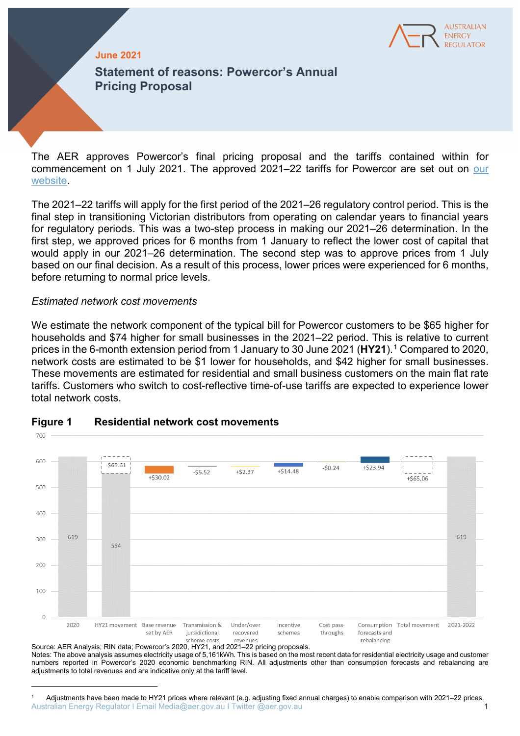

## **June 2021**

**Statement of reasons: Powercor's Annual Pricing Proposal**

The AER approves Powercor's final pricing proposal and the tariffs contained within for commencement on 1 July 2021. The approved 2021–22 tariffs for Powercor are set out on [our](https://www.aer.gov.au/networks-pipelines/determinations-access-arrangements/pricing-proposals-tariffs)  [website.](https://www.aer.gov.au/networks-pipelines/determinations-access-arrangements/pricing-proposals-tariffs)

The 2021–22 tariffs will apply for the first period of the 2021–26 regulatory control period. This is the final step in transitioning Victorian distributors from operating on calendar years to financial years for regulatory periods. This was a two-step process in making our 2021–26 determination. In the first step, we approved prices for 6 months from 1 January to reflect the lower cost of capital that would apply in our 2021–26 determination. The second step was to approve prices from 1 July based on our final decision. As a result of this process, lower prices were experienced for 6 months, before returning to normal price levels.

## *Estimated network cost movements*

 $\overline{a}$ 

We estimate the network component of the typical bill for Powercor customers to be \$65 higher for households and \$74 higher for small businesses in the 2021–22 period. This is relative to current prices in the 6-month extension period from [1](#page-0-0) January to 30 June 2021 (HY21).<sup>1</sup> Compared to 2020, network costs are estimated to be \$1 lower for households, and \$42 higher for small businesses. These movements are estimated for residential and small business customers on the main flat rate tariffs. Customers who switch to cost-reflective time-of-use tariffs are expected to experience lower total network costs.



## **Figure 1 Residential network cost movements**

Source: AER Analysis; RIN data; Powercor's 2020, HY21, and 2021–22 pricing proposals. Notes: The above analysis assumes electricity usage of 5,161kWh. This is based on the most recent data for residential electricity usage and customer numbers reported in Powercor's 2020 economic benchmarking RIN. All adjustments other than consumption forecasts and rebalancing are adjustments to total revenues and are indicative only at the tariff level.

<span id="page-0-0"></span>Australian Energy Regulator I Email Media@aer.gov.au I Twitter @aer.gov.au 1 <sup>1</sup> Adjustments have been made to HY21 prices where relevant (e.g. adjusting fixed annual charges) to enable comparison with 2021–22 prices.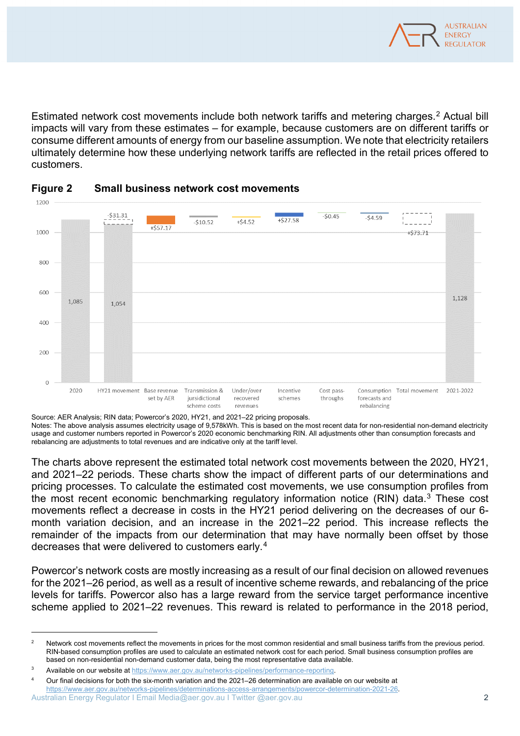

Estimated network cost movements include both network tariffs and metering charges.[2](#page-1-0) Actual bill impacts will vary from these estimates – for example, because customers are on different tariffs or consume different amounts of energy from our baseline assumption. We note that electricity retailers ultimately determine how these underlying network tariffs are reflected in the retail prices offered to customers.



# **Figure 2 Small business network cost movements**

Source: AER Analysis; RIN data; Powercor's 2020, HY21, and 2021–22 pricing proposals.

Notes: The above analysis assumes electricity usage of 9,578kWh. This is based on the most recent data for non-residential non-demand electricity usage and customer numbers reported in Powercor's 2020 economic benchmarking RIN. All adjustments other than consumption forecasts and rebalancing are adjustments to total revenues and are indicative only at the tariff level.

The charts above represent the estimated total network cost movements between the 2020, HY21, and 2021–22 periods. These charts show the impact of different parts of our determinations and pricing processes. To calculate the estimated cost movements, we use consumption profiles from the most recent economic benchmarking regulatory information notice (RIN) data.<sup>3</sup> These cost movements reflect a decrease in costs in the HY21 period delivering on the decreases of our 6 month variation decision, and an increase in the 2021–22 period. This increase reflects the remainder of the impacts from our determination that may have normally been offset by those decreases that were delivered to customers early.[4](#page-1-2)

Powercor's network costs are mostly increasing as a result of our final decision on allowed revenues for the 2021–26 period, as well as a result of incentive scheme rewards, and rebalancing of the price levels for tariffs. Powercor also has a large reward from the service target performance incentive scheme applied to 2021–22 revenues. This reward is related to performance in the 2018 period,

 $\overline{a}$ 

<span id="page-1-0"></span> $\overline{2}$  Network cost movements reflect the movements in prices for the most common residential and small business tariffs from the previous period. RIN-based consumption profiles are used to calculate an estimated network cost for each period. Small business consumption profiles are based on non-residential non-demand customer data, being the most representative data available.

<span id="page-1-1"></span><sup>3</sup> Available on our website at [https://www.aer.gov.au/networks-pipelines/performance-reporting.](https://www.aer.gov.au/networks-pipelines/performance-reporting)

<span id="page-1-2"></span>Australian Energy Regulator I Email Media@aer.gov.au I Twitter @aer.gov.au 2 4 Our final decisions for both the six-month variation and the 2021–26 determination are available on our website at [https://www.aer.gov.au/networks-pipelines/determinations-access-arrangements/powercor-determination-2021-26.](https://www.aer.gov.au/networks-pipelines/determinations-access-arrangements/powercor-determination-2021-26)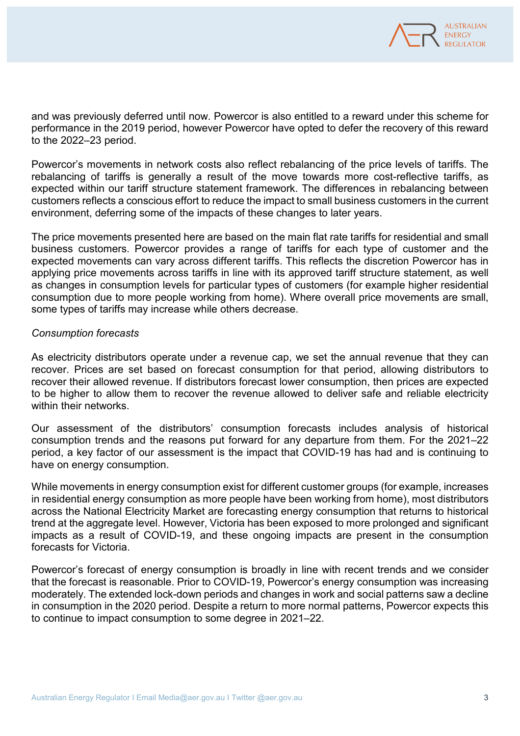

and was previously deferred until now. Powercor is also entitled to a reward under this scheme for performance in the 2019 period, however Powercor have opted to defer the recovery of this reward to the 2022–23 period.

Powercor's movements in network costs also reflect rebalancing of the price levels of tariffs. The rebalancing of tariffs is generally a result of the move towards more cost-reflective tariffs, as expected within our tariff structure statement framework. The differences in rebalancing between customers reflects a conscious effort to reduce the impact to small business customers in the current environment, deferring some of the impacts of these changes to later years.

The price movements presented here are based on the main flat rate tariffs for residential and small business customers. Powercor provides a range of tariffs for each type of customer and the expected movements can vary across different tariffs. This reflects the discretion Powercor has in applying price movements across tariffs in line with its approved tariff structure statement, as well as changes in consumption levels for particular types of customers (for example higher residential consumption due to more people working from home). Where overall price movements are small, some types of tariffs may increase while others decrease.

## *Consumption forecasts*

As electricity distributors operate under a revenue cap, we set the annual revenue that they can recover. Prices are set based on forecast consumption for that period, allowing distributors to recover their allowed revenue. If distributors forecast lower consumption, then prices are expected to be higher to allow them to recover the revenue allowed to deliver safe and reliable electricity within their networks.

Our assessment of the distributors' consumption forecasts includes analysis of historical consumption trends and the reasons put forward for any departure from them. For the 2021–22 period, a key factor of our assessment is the impact that COVID-19 has had and is continuing to have on energy consumption.

While movements in energy consumption exist for different customer groups (for example, increases in residential energy consumption as more people have been working from home), most distributors across the National Electricity Market are forecasting energy consumption that returns to historical trend at the aggregate level. However, Victoria has been exposed to more prolonged and significant impacts as a result of COVID-19, and these ongoing impacts are present in the consumption forecasts for Victoria.

Powercor's forecast of energy consumption is broadly in line with recent trends and we consider that the forecast is reasonable. Prior to COVID-19, Powercor's energy consumption was increasing moderately. The extended lock-down periods and changes in work and social patterns saw a decline in consumption in the 2020 period. Despite a return to more normal patterns, Powercor expects this to continue to impact consumption to some degree in 2021–22.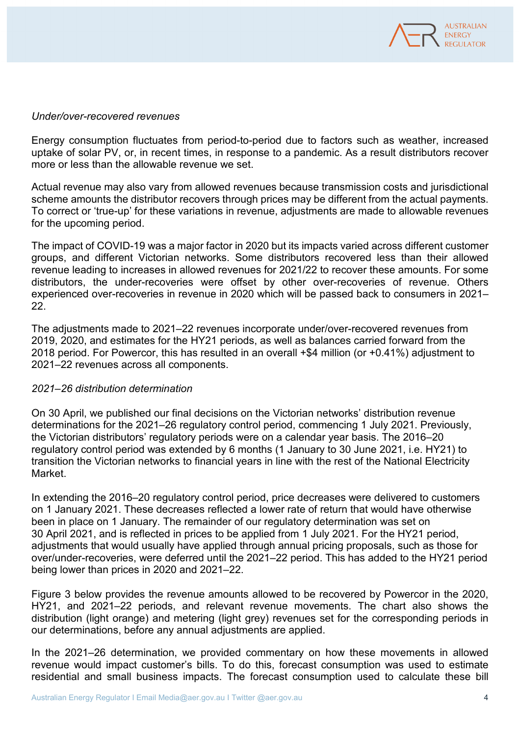

### *Under/over-recovered revenues*

Energy consumption fluctuates from period-to-period due to factors such as weather, increased uptake of solar PV, or, in recent times, in response to a pandemic. As a result distributors recover more or less than the allowable revenue we set.

Actual revenue may also vary from allowed revenues because transmission costs and jurisdictional scheme amounts the distributor recovers through prices may be different from the actual payments. To correct or 'true-up' for these variations in revenue, adjustments are made to allowable revenues for the upcoming period.

The impact of COVID-19 was a major factor in 2020 but its impacts varied across different customer groups, and different Victorian networks. Some distributors recovered less than their allowed revenue leading to increases in allowed revenues for 2021/22 to recover these amounts. For some distributors, the under-recoveries were offset by other over-recoveries of revenue. Others experienced over-recoveries in revenue in 2020 which will be passed back to consumers in 2021– 22.

The adjustments made to 2021–22 revenues incorporate under/over-recovered revenues from 2019, 2020, and estimates for the HY21 periods, as well as balances carried forward from the 2018 period. For Powercor, this has resulted in an overall +\$4 million (or +0.41%) adjustment to 2021–22 revenues across all components.

## *2021–26 distribution determination*

On 30 April, we published our final decisions on the Victorian networks' distribution revenue determinations for the 2021–26 regulatory control period, commencing 1 July 2021. Previously, the Victorian distributors' regulatory periods were on a calendar year basis. The 2016–20 regulatory control period was extended by 6 months (1 January to 30 June 2021, i.e. HY21) to transition the Victorian networks to financial years in line with the rest of the National Electricity Market.

In extending the 2016–20 regulatory control period, price decreases were delivered to customers on 1 January 2021. These decreases reflected a lower rate of return that would have otherwise been in place on 1 January. The remainder of our regulatory determination was set on 30 April 2021, and is reflected in prices to be applied from 1 July 2021. For the HY21 period, adjustments that would usually have applied through annual pricing proposals, such as those for over/under-recoveries, were deferred until the 2021–22 period. This has added to the HY21 period being lower than prices in 2020 and 2021–22.

Figure 3 below provides the revenue amounts allowed to be recovered by Powercor in the 2020, HY21, and 2021–22 periods, and relevant revenue movements. The chart also shows the distribution (light orange) and metering (light grey) revenues set for the corresponding periods in our determinations, before any annual adjustments are applied.

In the 2021–26 determination, we provided commentary on how these movements in allowed revenue would impact customer's bills. To do this, forecast consumption was used to estimate residential and small business impacts. The forecast consumption used to calculate these bill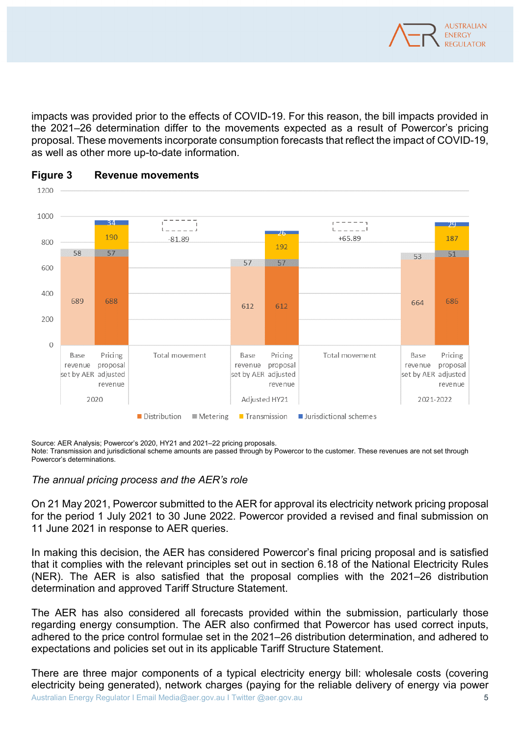

impacts was provided prior to the effects of COVID-19. For this reason, the bill impacts provided in the 2021–26 determination differ to the movements expected as a result of Powercor's pricing proposal. These movements incorporate consumption forecasts that reflect the impact of COVID-19, as well as other more up-to-date information.





Source: AER Analysis; Powercor's 2020, HY21 and 2021–22 pricing proposals.

Note: Transmission and jurisdictional scheme amounts are passed through by Powercor to the customer. These revenues are not set through Powercor's determinations.

## *The annual pricing process and the AER's role*

On 21 May 2021, Powercor submitted to the AER for approval its electricity network pricing proposal for the period 1 July 2021 to 30 June 2022. Powercor provided a revised and final submission on 11 June 2021 in response to AER queries.

In making this decision, the AER has considered Powercor's final pricing proposal and is satisfied that it complies with the relevant principles set out in section 6.18 of the National Electricity Rules (NER). The AER is also satisfied that the proposal complies with the 2021–26 distribution determination and approved Tariff Structure Statement.

The AER has also considered all forecasts provided within the submission, particularly those regarding energy consumption. The AER also confirmed that Powercor has used correct inputs, adhered to the price control formulae set in the 2021–26 distribution determination, and adhered to expectations and policies set out in its applicable Tariff Structure Statement.

Australian Energy Regulator I Email Media@aer.gov.au I Twitter @aer.gov.au 5 There are three major components of a typical electricity energy bill: wholesale costs (covering electricity being generated), network charges (paying for the reliable delivery of energy via power